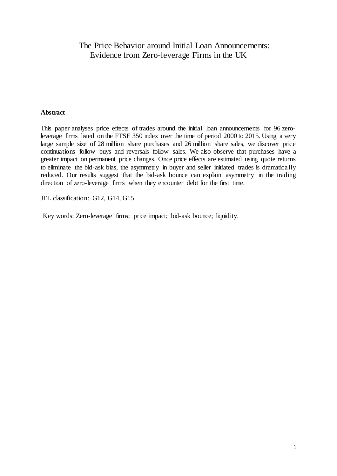# The Price Behavior around Initial Loan Announcements: Evidence from Zero-leverage Firms in the UK

#### **Abstract**

This paper analyses price effects of trades around the initial loan announcements for 96 zeroleverage firms listed on the FTSE 350 index over the time of period 2000 to 2015. Using a very large sample size of 28 million share purchases and 26 million share sales, we discover price continuations follow buys and reversals follow sales. We also observe that purchases have a greater impact on permanent price changes. Once price effects are estimated using quote returns to eliminate the bid-ask bias, the asymmetry in buyer and seller initiated trades is dramatically reduced. Our results suggest that the bid-ask bounce can explain asymmetry in the trading direction of zero-leverage firms when they encounter debt for the first time.

JEL classification: G12, G14, G15

Key words: Zero-leverage firms; price impact; bid-ask bounce; liquidity.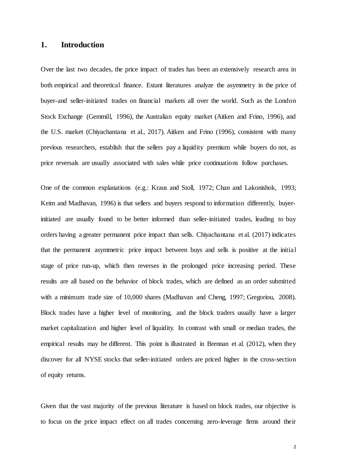## **1. Introduction**

Over the last two decades, the price impact of trades has been an extensively research area in both empirical and theoretical finance. Extant literatures analyze the asymmetry in the price of buyer-and seller-initiated trades on financial markets all over the world. Such as the London Stock Exchange (Gemmill, 1996), the Australian equity market (Aitken and Frino, 1996), and the U.S. market (Chiyachantana et al., 2017). Aitken and Frino (1996), consistent with many previous researchers, establish that the sellers pay a liquidity premium while buyers do not, as price reversals are usually associated with sales while price continuations follow purchases.

One of the common explanations (e.g.: Kraus and Stoll, 1972; Chan and Lakonishok, 1993; Keim and Madhavan, 1996) is that sellers and buyers respond to information differently, buyerinitiated are usually found to be better informed than seller-initiated trades, leading to buy orders having a greater permanent price impact than sells. Chiyachantana et al. (2017) indicates that the permanent asymmetric price impact between buys and sells is positive at the initial stage of price run-up, which then reverses in the prolonged price increasing period. These results are all based on the behavior of block trades, which are defined as an order submitted with a minimum trade size of 10,000 shares (Madhavan and Cheng, 1997; Gregoriou, 2008). Block trades have a higher level of monitoring, and the block traders usually have a larger market capitalization and higher level of liquidity. In contrast with small or median trades, the empirical results may be different. This point is illustrated in Brennan et al. (2012), when they discover for all NYSE stocks that seller-initiated orders are priced higher in the cross-section of equity returns.

Given that the vast majority of the previous literature is based on block trades, our objective is to focus on the price impact effect on all trades concerning zero-leverage firms around their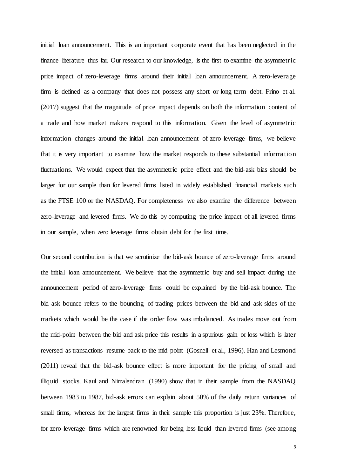initial loan announcement. This is an important corporate event that has been neglected in the finance literature thus far. Our research to our knowledge, is the first to examine the asymmetric price impact of zero-leverage firms around their initial loan announcement. A zero-leverage firm is defined as a company that does not possess any short or long-term debt. Frino et al. (2017) suggest that the magnitude of price impact depends on both the information content of a trade and how market makers respond to this information. Given the level of asymmetric information changes around the initial loan announcement of zero leverage firms, we believe that it is very important to examine how the market responds to these substantial informatio n fluctuations. We would expect that the asymmetric price effect and the bid-ask bias should be larger for our sample than for levered firms listed in widely established financial markets such as the FTSE 100 or the NASDAQ. For completeness we also examine the difference between zero-leverage and levered firms. We do this by computing the price impact of all levered firms in our sample, when zero leverage firms obtain debt for the first time.

Our second contribution is that we scrutinize the bid-ask bounce of zero-leverage firms around the initial loan announcement. We believe that the asymmetric buy and sell impact during the announcement period of zero-leverage firms could be explained by the bid-ask bounce. The bid-ask bounce refers to the bouncing of trading prices between the bid and ask sides of the markets which would be the case if the order flow was imbalanced. As trades move out from the mid-point between the bid and ask price this results in a spurious gain or loss which is later reversed as transactions resume back to the mid-point (Gosnell et al., 1996). Han and Lesmond (2011) reveal that the bid-ask bounce effect is more important for the pricing of small and illiquid stocks. Kaul and Nimalendran (1990) show that in their sample from the NASDAQ between 1983 to 1987, bid-ask errors can explain about 50% of the daily return variances of small firms, whereas for the largest firms in their sample this proportion is just 23%. Therefore, for zero-leverage firms which are renowned for being less liquid than levered firms (see among

3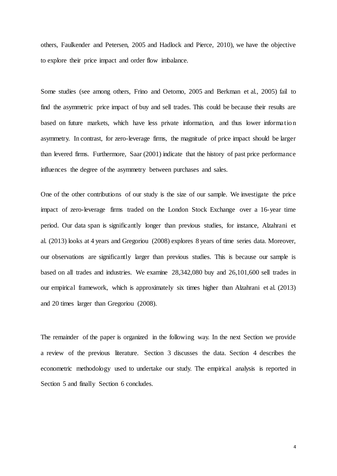others, Faulkender and Petersen, 2005 and Hadlock and Pierce, 2010), we have the objective to explore their price impact and order flow imbalance.

Some studies (see among others, Frino and Oetomo, 2005 and Berkman et al., 2005) fail to find the asymmetric price impact of buy and sell trades. This could be because their results are based on future markets, which have less private information, and thus lower informatio n asymmetry. In contrast, for zero-leverage firms, the magnitude of price impact should be larger than levered firms. Furthermore, Saar (2001) indicate that the history of past price performance influences the degree of the asymmetry between purchases and sales.

One of the other contributions of our study is the size of our sample. We investigate the price impact of zero-leverage firms traded on the London Stock Exchange over a 16-year time period. Our data span is significantly longer than previous studies, for instance, Alzahrani et al. (2013) looks at 4 years and Gregoriou (2008) explores 8 years of time series data. Moreover, our observations are significantly larger than previous studies. This is because our sample is based on all trades and industries. We examine 28,342,080 buy and 26,101,600 sell trades in our empirical framework, which is approximately six times higher than Alzahrani et al. (2013) and 20 times larger than Gregoriou (2008).

The remainder of the paper is organized in the following way. In the next Section we provide a review of the previous literature. Section 3 discusses the data. Section 4 describes the econometric methodology used to undertake our study. The empirical analysis is reported in Section 5 and finally Section 6 concludes.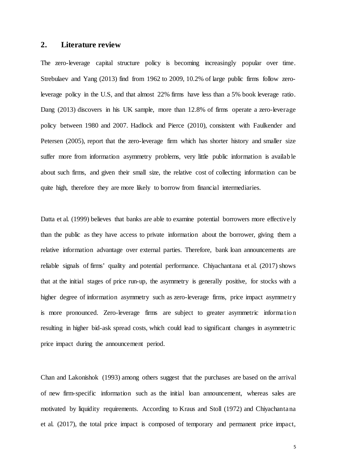## **2. Literature review**

The zero-leverage capital structure policy is becoming increasingly popular over time. Strebulaev and Yang (2013) find from 1962 to 2009, 10.2% of large public firms follow zeroleverage policy in the U.S, and that almost 22% firms have less than a 5% book leverage ratio. Dang (2013) discovers in his UK sample, more than 12.8% of firms operate a zero-leverage policy between 1980 and 2007. Hadlock and Pierce (2010), consistent with Faulkender and Petersen (2005), report that the zero-leverage firm which has shorter history and smaller size suffer more from information asymmetry problems, very little public information is availab le about such firms, and given their small size, the relative cost of collecting information can be quite high, therefore they are more likely to borrow from financial intermediaries.

Datta et al. (1999) believes that banks are able to examine potential borrowers more effectively than the public as they have access to private information about the borrower, giving them a relative information advantage over external parties. Therefore, bank loan announcements are reliable signals of firms' quality and potential performance. Chiyachantana et al. (2017) shows that at the initial stages of price run-up, the asymmetry is generally positive, for stocks with a higher degree of information asymmetry such as zero-leverage firms, price impact asymmetry is more pronounced. Zero-leverage firms are subject to greater asymmetric informatio n resulting in higher bid-ask spread costs, which could lead to significant changes in asymmetric price impact during the announcement period.

Chan and Lakonishok (1993) among others suggest that the purchases are based on the arrival of new firm-specific information such as the initial loan announcement, whereas sales are motivated by liquidity requirements. According to Kraus and Stoll (1972) and Chiyachantana et al. (2017), the total price impact is composed of temporary and permanent price impact,

5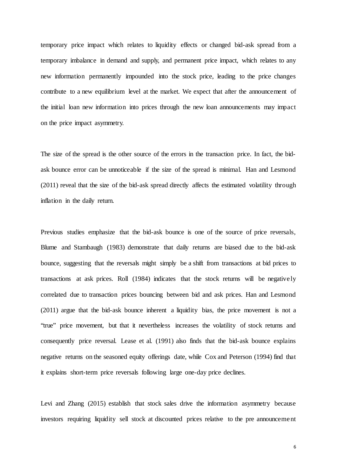temporary price impact which relates to liquidity effects or changed bid-ask spread from a temporary imbalance in demand and supply, and permanent price impact, which relates to any new information permanently impounded into the stock price, leading to the price changes contribute to a new equilibrium level at the market. We expect that after the announcement of the initial loan new information into prices through the new loan announcements may impact on the price impact asymmetry.

The size of the spread is the other source of the errors in the transaction price. In fact, the bidask bounce error can be unnoticeable if the size of the spread is minimal. Han and Lesmond (2011) reveal that the size of the bid-ask spread directly affects the estimated volatility through inflation in the daily return.

Previous studies emphasize that the bid-ask bounce is one of the source of price reversals, Blume and Stambaugh (1983) demonstrate that daily returns are biased due to the bid-ask bounce, suggesting that the reversals might simply be a shift from transactions at bid prices to transactions at ask prices. Roll (1984) indicates that the stock returns will be negatively correlated due to transaction prices bouncing between bid and ask prices. Han and Lesmond (2011) argue that the bid-ask bounce inherent a liquidity bias, the price movement is not a "true" price movement, but that it nevertheless increases the volatility of stock returns and consequently price reversal. Lease et al. (1991) also finds that the bid-ask bounce explains negative returns on the seasoned equity offerings date, while Cox and Peterson (1994) find that it explains short-term price reversals following large one-day price declines.

Levi and Zhang (2015) establish that stock sales drive the information asymmetry because investors requiring liquidity sell stock at discounted prices relative to the pre announcement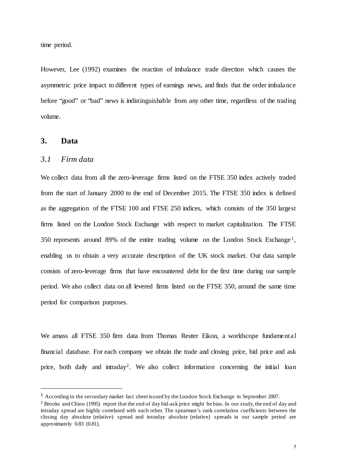time period.

However, Lee (1992) examines the reaction of imbalance trade direction which causes the asymmetric price impact to different types of earnings news, and finds that the order imbalance before "good" or "bad" news is indistinguishable from any other time, regardless of the trading volume.

## **3. Data**

-

## *3.1 Firm data*

We collect data from all the zero-leverage firms listed on the FTSE 350 index actively traded from the start of January 2000 to the end of December 2015. The FTSE 350 index is defined as the aggregation of the FTSE 100 and FTSE 250 indices, which consists of the 350 largest firms listed on the London Stock Exchange with respect to market capitalization. The FTSE 350 represents around 89% of the entire trading volume on the London Stock Exchange [1](#page-6-0), enabling us to obtain a very accurate description of the UK stock market. Our data sample consists of zero-leverage firms that have encountered debt for the first time during our sample period. We also collect data on all levered firms listed on the FTSE 350, around the same time period for comparison purposes.

We amass all FTSE 350 firm data from Thomas Reuter Eikon, a worldscope fundamental financial database. For each company we obtain the trade and closing price, bid price and ask price, both daily and intraday<sup>[2](#page-6-1)</sup>. We also collect information concerning the initial loan

<span id="page-6-1"></span><span id="page-6-0"></span><sup>&</sup>lt;sup>1</sup> According to the secondary market fact sheet issued by the London Stock Exchange in September 2007.<br><sup>2</sup> Brooks and Chiou (1995) report that the end of day bid-ask price might be bias. In our study, the end of day and intraday spread are highly correlated with each other. The spearman's rank correlation coefficients between the closing day absolute (relative) spread and intraday absolute (relative) spreads in our sample period are approximately 0.83 (0.81).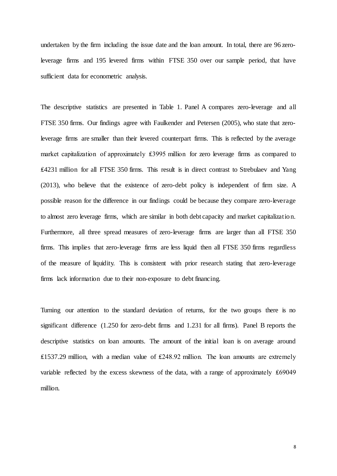undertaken by the firm including the issue date and the loan amount. In total, there are 96 zeroleverage firms and 195 levered firms within FTSE 350 over our sample period, that have sufficient data for econometric analysis.

The descriptive statistics are presented in Table 1. Panel A compares zero-leverage and all FTSE 350 firms. Our findings agree with Faulkender and Petersen (2005), who state that zeroleverage firms are smaller than their levered counterpart firms. This is reflected by the average market capitalization of approximately ₤3995 million for zero leverage firms as compared to ₤4231 million for all FTSE 350 firms. This result is in direct contrast to Strebulaev and Yang (2013), who believe that the existence of zero-debt policy is independent of firm size. A possible reason for the difference in our findings could be because they compare zero-leverage to almost zero leverage firms, which are similar in both debt capacity and market capitalizatio n. Furthermore, all three spread measures of zero-leverage firms are larger than all FTSE 350 firms. This implies that zero-leverage firms are less liquid then all FTSE 350 firms regardless of the measure of liquidity. This is consistent with prior research stating that zero-leverage firms lack information due to their non-exposure to debt financing.

Turning our attention to the standard deviation of returns, for the two groups there is no significant difference (1.250 for zero-debt firms and 1.231 for all firms). Panel B reports the descriptive statistics on loan amounts. The amount of the initial loan is on average around ₤1537.29 million, with a median value of ₤248.92 million. The loan amounts are extremely variable reflected by the excess skewness of the data, with a range of approximately ₤69049 million.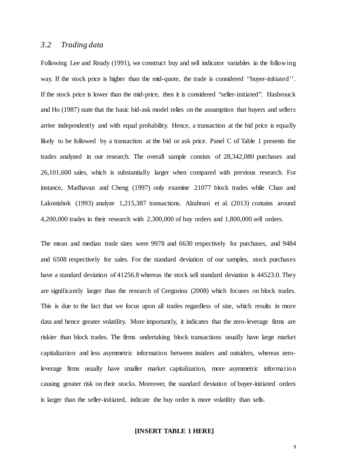## *3.2 Trading data*

Following Lee and Ready (1991), we construct buy and sell indicator variables in the following way. If the stock price is higher than the mid-quote, the trade is considered "buyer-initiated". If the stock price is lower than the mid-price, then it is considered "seller-initiated". Hasbrouck and Ho (1987) state that the basic bid-ask model relies on the assumption that buyers and sellers arrive independently and with equal probability. Hence, a transaction at the bid price is equally likely to be followed by a transaction at the bid or ask price. Panel C of Table 1 presents the trades analyzed in our research. The overall sample consists of 28,342,080 purchases and 26,101,600 sales, which is substantially larger when compared with previous research. For instance, Madhavan and Cheng (1997) only examine 21077 block trades while Chan and Lakonishok (1993) analyze 1,215,387 transactions. Alzahrani et al. (2013) contains around 4,200,000 trades in their research with 2,300,000 of buy orders and 1,800,000 sell orders.

The mean and median trade sizes were 9978 and 6630 respectively for purchases, and 9484 and 6508 respectively for sales. For the standard deviation of our samples, stock purchases have a standard deviation of 41256.8 whereas the stock sell standard deviation is 44523.0. They are significantly larger than the research of Gregoriou (2008) which focuses on block trades. This is due to the fact that we focus upon all trades regardless of size, which results in more data and hence greater volatility. More importantly, it indicates that the zero-leverage firms are riskier than block trades. The firms undertaking block transactions usually have large market capitalization and less asymmetric information between insiders and outsiders, whereas zeroleverage firms usually have smaller market capitalization, more asymmetric informatio n causing greater risk on their stocks. Moreover, the standard deviation of buyer-initiated orders is larger than the seller-initiated, indicate the buy order is more volatility than sells.

#### **[INSERT TABLE 1 HERE]**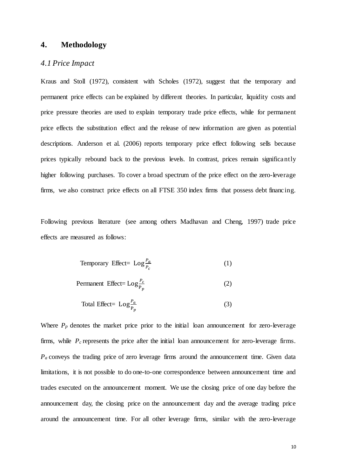## **4. Methodology**

### *4.1 Price Impact*

Kraus and Stoll (1972), consistent with Scholes (1972), suggest that the temporary and permanent price effects can be explained by different theories. In particular, liquidity costs and price pressure theories are used to explain temporary trade price effects, while for permanent price effects the substitution effect and the release of new information are given as potential descriptions. Anderson et al. (2006) reports temporary price effect following sells because prices typically rebound back to the previous levels. In contrast, prices remain significantly higher following purchases. To cover a broad spectrum of the price effect on the zero-leverage firms, we also construct price effects on all FTSE 350 index firms that possess debt financing.

Following previous literature (see among others Madhavan and Cheng, 1997) trade price effects are measured as follows:

$$
Temporary Effect = Log \frac{P_a}{P_c}
$$
 (1)

$$
Permannent Effect = Log \frac{P_c}{P_p}
$$
 (2)

Total Effect= 
$$
Log_{P_p}^{\underline{P_a}}
$$
 (3)

Where  $P_p$  denotes the market price prior to the initial loan announcement for zero-leverage firms, while  $P_c$  represents the price after the initial loan announcement for zero-leverage firms. *Pa* conveys the trading price of zero leverage firms around the announcement time. Given data limitations, it is not possible to do one-to-one correspondence between announcement time and trades executed on the announcement moment. We use the closing price of one day before the announcement day, the closing price on the announcement day and the average trading price around the announcement time. For all other leverage firms, similar with the zero-leverage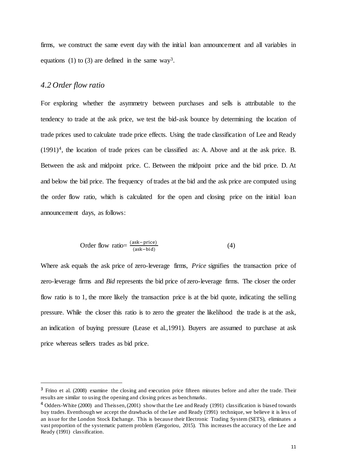firms, we construct the same event day with the initial loan announcement and all variables in equations (1) to ([3](#page-10-0)) are defined in the same way<sup>3</sup>.

## *4.2 Order flow ratio*

-

For exploring whether the asymmetry between purchases and sells is attributable to the tendency to trade at the ask price, we test the bid-ask bounce by determining the location of trade prices used to calculate trade price effects. Using the trade classification of Lee and Ready  $(1991)^4$  $(1991)^4$ , the location of trade prices can be classified as: A. Above and at the ask price. B. Between the ask and midpoint price. C. Between the midpoint price and the bid price. D. At and below the bid price. The frequency of trades at the bid and the ask price are computed using the order flow ratio, which is calculated for the open and closing price on the initial loan announcement days, as follows:

Order flow ratio=
$$
\frac{(ask-price)}{(ask-bid)}
$$
(4)

Where ask equals the ask price of zero-leverage firms, *Price* signifies the transaction price of zero-leverage firms and *Bid* represents the bid price of zero-leverage firms. The closer the order flow ratio is to 1, the more likely the transaction price is at the bid quote, indicating the selling pressure. While the closer this ratio is to zero the greater the likelihood the trade is at the ask, an indication of buying pressure (Lease et al.,1991). Buyers are assumed to purchase at ask price whereas sellers trades as bid price.

<span id="page-10-0"></span><sup>&</sup>lt;sup>3</sup> Frino et al. (2008) examine the closing and execution price fifteen minutes before and after the trade. Their results are similar to using the opening and closing prices as benchmarks.

<span id="page-10-1"></span><sup>4</sup> Odders-White (2000) and Theissen, (2001) show that the Lee and Ready (1991) classification is biased towards buy trades. Eventhough we accept the drawbacks of the Lee and Ready (1991) technique, we believe it is less of an issue for the London Stock Exchange. This is because their Electronic Trading System (SETS), eliminates a vast proportion of the systematic pattern problem (Gregoriou, 2015). This increases the accuracy of the Lee and Ready (1991) classification.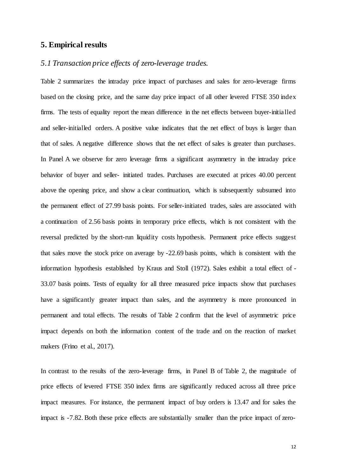## **5. Empirical results**

## *5.1 Transaction price effects of zero-leverage trades.*

Table 2 summarizes the intraday price impact of purchases and sales for zero-leverage firms based on the closing price, and the same day price impact of all other levered FTSE 350 index firms. The tests of equality report the mean difference in the net effects between buyer-initialled and seller-initialled orders. A positive value indicates that the net effect of buys is larger than that of sales. A negative difference shows that the net effect of sales is greater than purchases. In Panel A we observe for zero leverage firms a significant asymmetry in the intraday price behavior of buyer and seller- initiated trades. Purchases are executed at prices 40.00 percent above the opening price, and show a clear continuation, which is subsequently subsumed into the permanent effect of 27.99 basis points. For seller-initiated trades, sales are associated with a continuation of 2.56 basis points in temporary price effects, which is not consistent with the reversal predicted by the short-run liquidity costs hypothesis. Permanent price effects suggest that sales move the stock price on average by -22.69 basis points, which is consistent with the information hypothesis established by Kraus and Stoll (1972). Sales exhibit a total effect of - 33.07 basis points. Tests of equality for all three measured price impacts show that purchases have a significantly greater impact than sales, and the asymmetry is more pronounced in permanent and total effects. The results of Table 2 confirm that the level of asymmetric price impact depends on both the information content of the trade and on the reaction of market makers (Frino et al., 2017).

In contrast to the results of the zero-leverage firms, in Panel B of Table 2, the magnitude of price effects of levered FTSE 350 index firms are significantly reduced across all three price impact measures. For instance, the permanent impact of buy orders is 13.47 and for sales the impact is -7.82. Both these price effects are substantially smaller than the price impact of zero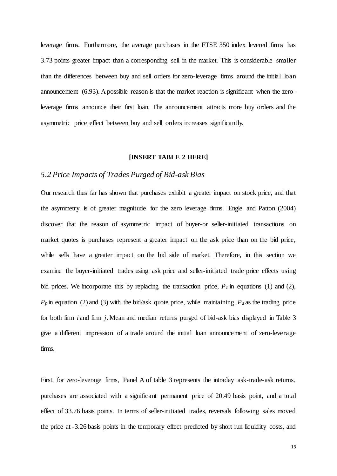leverage firms. Furthermore, the average purchases in the FTSE 350 index levered firms has 3.73 points greater impact than a corresponding sell in the market. This is considerable smaller than the differences between buy and sell orders for zero-leverage firms around the initial loan announcement (6.93). A possible reason is that the market reaction is significant when the zeroleverage firms announce their first loan. The announcement attracts more buy orders and the asymmetric price effect between buy and sell orders increases significantly.

#### **[INSERT TABLE 2 HERE]**

## *5.2 Price Impacts of Trades Purged of Bid-ask Bias*

Our research thus far has shown that purchases exhibit a greater impact on stock price, and that the asymmetry is of greater magnitude for the zero leverage firms. Engle and Patton (2004) discover that the reason of asymmetric impact of buyer-or seller-initiated transactions on market quotes is purchases represent a greater impact on the ask price than on the bid price, while sells have a greater impact on the bid side of market. Therefore, in this section we examine the buyer-initiated trades using ask price and seller-initiated trade price effects using bid prices. We incorporate this by replacing the transaction price,  $P_c$  in equations (1) and (2),  $P_p$  in equation (2) and (3) with the bid/ask quote price, while maintaining  $P_a$  as the trading price for both firm *i* and firm *j*. Mean and median returns purged of bid-ask bias displayed in Table 3 give a different impression of a trade around the initial loan announcement of zero-leverage firms.

First, for zero-leverage firms, Panel A of table 3 represents the intraday ask-trade-ask returns, purchases are associated with a significant permanent price of 20.49 basis point, and a total effect of 33.76 basis points. In terms of seller-initiated trades, reversals following sales moved the price at -3.26 basis points in the temporary effect predicted by short run liquidity costs, and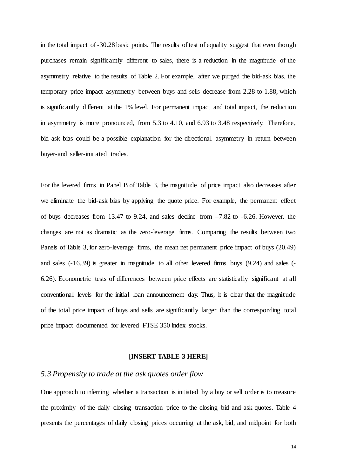in the total impact of -30.28 basic points. The results of test of equality suggest that even though purchases remain significantly different to sales, there is a reduction in the magnitude of the asymmetry relative to the results of Table 2. For example, after we purged the bid-ask bias, the temporary price impact asymmetry between buys and sells decrease from 2.28 to 1.88, which is significantly different at the 1% level. For permanent impact and total impact, the reduction in asymmetry is more pronounced, from 5.3 to 4.10, and 6.93 to 3.48 respectively. Therefore, bid-ask bias could be a possible explanation for the directional asymmetry in return between buyer-and seller-initiated trades.

For the levered firms in Panel B of Table 3, the magnitude of price impact also decreases after we eliminate the bid-ask bias by applying the quote price. For example, the permanent effect of buys decreases from 13.47 to 9.24, and sales decline from –7.82 to -6.26. However, the changes are not as dramatic as the zero-leverage firms. Comparing the results between two Panels of Table 3, for zero-leverage firms, the mean net permanent price impact of buys (20.49) and sales (-16.39) is greater in magnitude to all other levered firms buys (9.24) and sales (- 6.26). Econometric tests of differences between price effects are statistically significant at all conventional levels for the initial loan announcement day. Thus, it is clear that the magnitude of the total price impact of buys and sells are significantly larger than the corresponding total price impact documented for levered FTSE 350 index stocks.

#### **[INSERT TABLE 3 HERE]**

### *5.3 Propensity to trade at the ask quotes order flow*

One approach to inferring whether a transaction is initiated by a buy or sell order is to measure the proximity of the daily closing transaction price to the closing bid and ask quotes. Table 4 presents the percentages of daily closing prices occurring at the ask, bid, and midpoint for both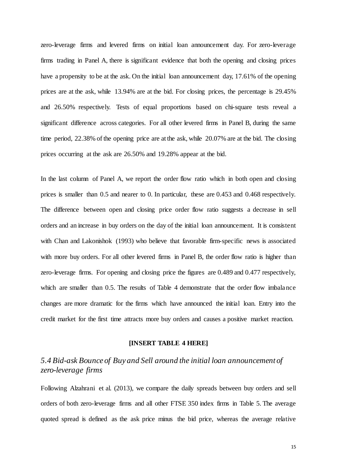zero-leverage firms and levered firms on initial loan announcement day. For zero-leverage firms trading in Panel A, there is significant evidence that both the opening and closing prices have a propensity to be at the ask. On the initial loan announcement day, 17.61% of the opening prices are at the ask, while 13.94% are at the bid. For closing prices, the percentage is 29.45% and 26.50% respectively. Tests of equal proportions based on chi-square tests reveal a significant difference across categories. For all other levered firms in Panel B, during the same time period, 22.38% of the opening price are at the ask, while 20.07% are at the bid. The closing prices occurring at the ask are 26.50% and 19.28% appear at the bid.

In the last column of Panel A, we report the order flow ratio which in both open and closing prices is smaller than 0.5 and nearer to 0. In particular, these are 0.453 and 0.468 respectively. The difference between open and closing price order flow ratio suggests a decrease in sell orders and an increase in buy orders on the day of the initial loan announcement. It is consistent with Chan and Lakonishok (1993) who believe that favorable firm-specific news is associated with more buy orders. For all other levered firms in Panel B, the order flow ratio is higher than zero-leverage firms. For opening and closing price the figures are 0.489 and 0.477 respectively, which are smaller than 0.5. The results of Table 4 demonstrate that the order flow imbalance changes are more dramatic for the firms which have announced the initial loan. Entry into the credit market for the first time attracts more buy orders and causes a positive market reaction.

#### **[INSERT TABLE 4 HERE]**

# *5.4 Bid-ask Bounce of Buy and Sell around the initial loan announcement of zero-leverage firms*

Following Alzahrani et al. (2013), we compare the daily spreads between buy orders and sell orders of both zero-leverage firms and all other FTSE 350 index firms in Table 5. The average quoted spread is defined as the ask price minus the bid price, whereas the average relative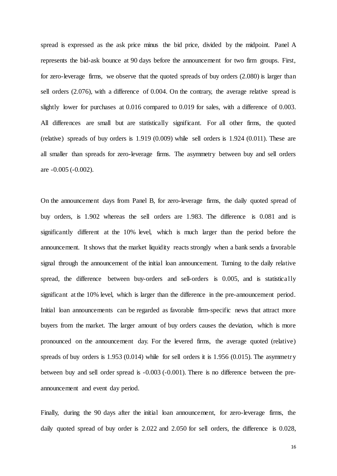spread is expressed as the ask price minus the bid price, divided by the midpoint. Panel A represents the bid-ask bounce at 90 days before the announcement for two firm groups. First, for zero-leverage firms, we observe that the quoted spreads of buy orders (2.080) is larger than sell orders (2.076), with a difference of 0.004. On the contrary, the average relative spread is slightly lower for purchases at 0.016 compared to 0.019 for sales, with a difference of 0.003. All differences are small but are statistically significant. For all other firms, the quoted (relative) spreads of buy orders is 1.919 (0.009) while sell orders is 1.924 (0.011). These are all smaller than spreads for zero-leverage firms. The asymmetry between buy and sell orders are -0.005 (-0.002).

On the announcement days from Panel B, for zero-leverage firms, the daily quoted spread of buy orders, is 1.902 whereas the sell orders are 1.983. The difference is 0.081 and is significantly different at the 10% level, which is much larger than the period before the announcement. It shows that the market liquidity reacts strongly when a bank sends a favorable signal through the announcement of the initial loan announcement. Turning to the daily relative spread, the difference between buy-orders and sell-orders is 0.005, and is statistically significant at the 10% level, which is larger than the difference in the pre-announcement period. Initial loan announcements can be regarded as favorable firm-specific news that attract more buyers from the market. The larger amount of buy orders causes the deviation, which is more pronounced on the announcement day. For the levered firms, the average quoted (relative) spreads of buy orders is  $1.953$  (0.014) while for sell orders it is  $1.956$  (0.015). The asymmetry between buy and sell order spread is -0.003 (-0.001). There is no difference between the preannouncement and event day period.

Finally, during the 90 days after the initial loan announcement, for zero-leverage firms, the daily quoted spread of buy order is 2.022 and 2.050 for sell orders, the difference is 0.028,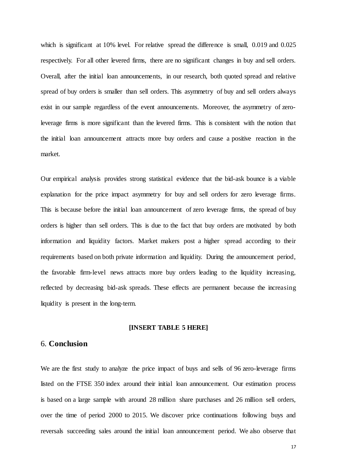which is significant at 10% level. For relative spread the difference is small, 0.019 and 0.025 respectively. For all other levered firms, there are no significant changes in buy and sell orders. Overall, after the initial loan announcements, in our research, both quoted spread and relative spread of buy orders is smaller than sell orders. This asymmetry of buy and sell orders always exist in our sample regardless of the event announcements. Moreover, the asymmetry of zeroleverage firms is more significant than the levered firms. This is consistent with the notion that the initial loan announcement attracts more buy orders and cause a positive reaction in the market.

Our empirical analysis provides strong statistical evidence that the bid-ask bounce is a viable explanation for the price impact asymmetry for buy and sell orders for zero leverage firms. This is because before the initial loan announcement of zero leverage firms, the spread of buy orders is higher than sell orders. This is due to the fact that buy orders are motivated by both information and liquidity factors. Market makers post a higher spread according to their requirements based on both private information and liquidity. During the announcement period, the favorable firm-level news attracts more buy orders leading to the liquidity increasing, reflected by decreasing bid-ask spreads. These effects are permanent because the increasing liquidity is present in the long-term.

#### **[INSERT TABLE 5 HERE]**

## 6. **Conclusion**

We are the first study to analyze the price impact of buys and sells of 96 zero-leverage firms listed on the FTSE 350 index around their initial loan announcement. Our estimation process is based on a large sample with around 28 million share purchases and 26 million sell orders, over the time of period 2000 to 2015. We discover price continuations following buys and reversals succeeding sales around the initial loan announcement period. We also observe that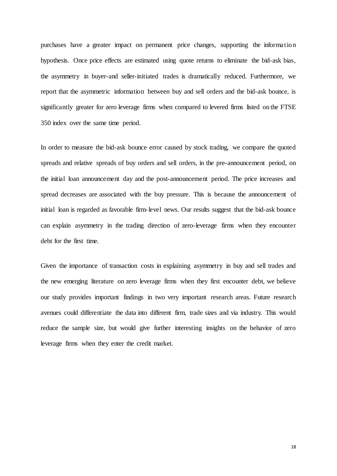purchases have a greater impact on permanent price changes, supporting the informatio n hypothesis. Once price effects are estimated using quote returns to eliminate the bid-ask bias, the asymmetry in buyer-and seller-initiated trades is dramatically reduced. Furthermore, we report that the asymmetric information between buy and sell orders and the bid-ask bounce, is significantly greater for zero leverage firms when compared to levered firms listed on the FTSE 350 index over the same time period.

In order to measure the bid-ask bounce error caused by stock trading, we compare the quoted spreads and relative spreads of buy orders and sell orders, in the pre-announcement period, on the initial loan announcement day and the post-announcement period. The price increases and spread decreases are associated with the buy pressure. This is because the announcement of initial loan is regarded as favorable firm-level news. Our results suggest that the bid-ask bounce can explain asymmetry in the trading direction of zero-leverage firms when they encounter debt for the first time.

Given the importance of transaction costs in explaining asymmetry in buy and sell trades and the new emerging literature on zero leverage firms when they first encounter debt, we believe our study provides important findings in two very important research areas. Future research avenues could differentiate the data into different firm, trade sizes and via industry. This would reduce the sample size, but would give further interesting insights on the behavior of zero leverage firms when they enter the credit market.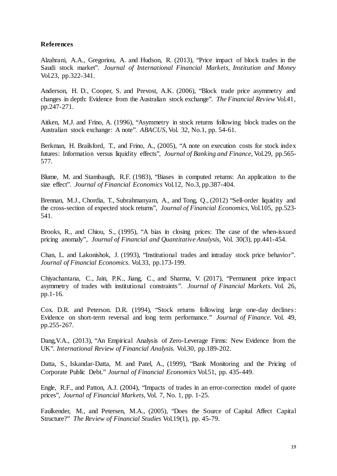### **References**

Alzahrani, A.A., Gregoriou, A. and Hudson, R. (2013), "Price impact of block trades in the Saudi stock market". *Journal of International Financial Markets, Institution and Money* Vol.23, pp.322-341.

Anderson, H. D., Cooper, S. and Prevost, A.K. (2006), "Block trade price asymmetry and changes in depth: Evidence from the Australian stock exchange". *The Financial Review* Vol.41, pp.247-271.

Aitken, M.J. and Frino, A. (1996), "Asymmetry in stock returns following block trades on the Australian stock exchange: A note". *ABACUS*, Vol. 32, No.1, pp. 54-61.

Berkman, H. Brailsford, T., and Frino, A., (2005), "A note on execution costs for stock index futures: Information versus liquidity effects", *Journal of Banking and Finance*, Vol.29, pp.565- 577.

Blume, M. and Stambaugh, R.F. (1983), "Biases in computed returns: An application to the size effect". *Journal of Financial Economics* Vol.12, No.3, pp.387-404.

Brennan, M.J., Chordia, T., Subrahmanyam, A., and Tong, Q., (2012) "Sell-order liquidity and the cross-section of expected stock returns", *Journal of Financial Economics,* Vol.105, pp.523- 541.

Brooks, R., and Chiou, S., (1995), "A bias in closing prices: The case of the when-issued pricing anomaly", *Journal of Financial and Quantitative Analysis*, Vol. 30(3), pp.441-454.

Chan, L. and Lakonishok, J. (1993), "Institutional trades and intraday stock price behavior". *Journal of Financial Economics*. Vol.33, pp.173-199.

Chiyachantana, C., Jain, P.K., Jiang, C., and Sharma, V. (2017), "Permanent price impact asymmetry of trades with institutional constraints*". Journal of Financial Markets*. Vol. 26, pp.1-16.

Cox. D.R. and Peterson. D.R. (1994), "Stock returns following large one-day declines: Evidence on short-term reversal and long term performance." *Journal of Finance*. Vol. 49, pp.255-267.

Dang, V.A., (2013), "An Empirical Analysis of Zero-Leverage Firms: New Evidence from the UK". *International Review of Financial Analysis.* Vol.30, pp.189-202.

Datta, S., Iskandar-Datta, M. and Patel, A., (1999), "Bank Monitoring and the Pricing of Corporate Public Debt." *Journal of Financial Economics* Vol.51, pp. 435-449.

Engle, R.F., and Patton, A.J. (2004), "Impacts of trades in an error-correction model of quote prices", *Journal of Financial Markets*, Vol. 7, No. 1, pp. 1-25.

Faulkender, M., and Petersen, M.A., (2005), "Does the Source of Capital Affect Capital Structure?" *The Review of Financial Studies* Vol.19(1), pp. 45-79.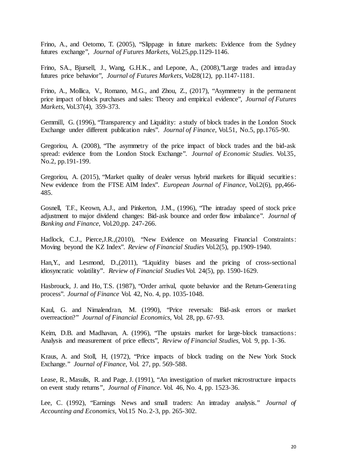Frino, A., and Oetomo, T. (2005), "Slippage in future markets: Evidence from the Sydney futures exchange", *Journal of Futures Markets*, Vol.25,pp.1129-1146.

Frino, SA., Bjursell, J., Wang, G.H.K., and Lepone, A., (2008),"Large trades and intraday futures price behavior", *Journal of Futures Markets*, Vol28(12), pp.1147-1181.

Frino, A., Mollica, V., Romano, M.G., and Zhou, Z., (2017), "Asymmetry in the permanent price impact of block purchases and sales: Theory and empirical evidence", *Journal of Futures Markets*, Vol.37(4), 359-373.

Gemmill, G. (1996), "Transparency and Liquidity: a study of block trades in the London Stock Exchange under different publication rules". *Journal of Finance*, Vol.51, No.5, pp.1765-90.

Gregoriou, A. (2008), "The asymmetry of the price impact of block trades and the bid-ask spread: evidence from the London Stock Exchange". *Journal of Economic Studies*. Vol.35, No.2, pp.191-199.

Gregoriou, A. (2015), "Market quality of dealer versus hybrid markets for illiquid securities: New evidence from the FTSE AIM Index". *European Journal of Finance*, Vol.2(6), pp,466- 485.

Gosnell, T.F., Keown, A.J., and Pinkerton, J.M., (1996), "The intraday speed of stock price adjustment to major dividend changes: Bid-ask bounce and order flow imbalance". *Journal of Banking and Finance*, Vol.20,pp. 247-266.

Hadlock, C.J., Pierce,J.R.,(2010), "New Evidence on Measuring Financial Constraints: Moving beyond the KZ Index". *Review of Financial Studies* Vol.2(5), pp.1909-1940.

Han,Y., and Lesmond, D.,(2011), "Liquidity biases and the pricing of cross-sectional idiosyncratic volatility". *Review of Financial Studies* Vol. 24(5), pp. 1590-1629.

Hasbrouck, J. and Ho, T.S. (1987), "Order arrival, quote behavior and the Return-Generating process". *Journal of Finance* Vol. 42, No. 4, pp. 1035-1048.

Kaul, G. and Nimalendran, M. (1990), "Price reversals: Bid-ask errors or market overreaction?" *Journal of Financial Economics*, Vol. 28, pp. 67-93.

Keim, D.B. and Madhavan, A. (1996), "The upstairs market for large-block transactions: Analysis and measurement of price effects", *Review of Financial Studies*, Vol. 9, pp. 1-36.

Kraus, A. and Stoll, H, (1972), "Price impacts of block trading on the New York Stock Exchange." *Journal of Finance*, Vol. 27, pp. 569-588.

Lease, R., Masulis, R. and Page, J. (1991), "An investigation of market microstructure impacts on event study returns*", Journal of Finance*. Vol. 46, No. 4, pp. 1523-36.

Lee, C. (1992), "Earnings News and small traders: An intraday analysis." *Journal of Accounting and Economics,* Vol.15 No. 2-3, pp. 265-302.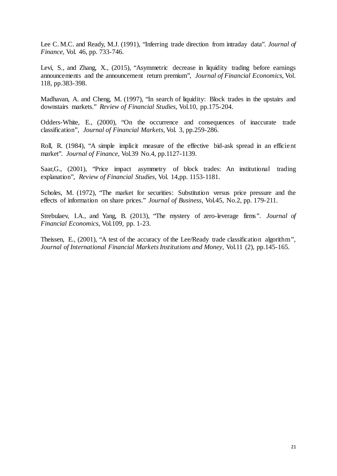Lee C. M.C. and Ready, M.J. (1991), "Inferring trade direction from intraday data". *Journal of Finance,* Vol. 46, pp. 733-746.

Levi, S., and Zhang, X., (2015), "Asymmetric decrease in liquidity trading before earnings announcements and the announcement return premium", *Journal of Financial Economics*, Vol. 118, pp.383-398.

Madhavan, A. and Cheng, M. (1997), 'In search of liquidity: Block trades in the upstairs and downstairs markets." *Review of Financial Studies*, Vol.10, pp.175-204.

Odders-White, E., (2000), "On the occurrence and consequences of inaccurate trade classification", *Journal of Financial Markets*, Vol. 3, pp.259-286.

Roll, R. (1984), "A simple implicit measure of the effective bid-ask spread in an efficient market". *Journal of Finance*, Vol.39 No.4, pp.1127-1139.

Saar,G., (2001), "Price impact asymmetry of block trades: An institutional trading explanation", *Review of Financial Studies*, Vol. 14,pp. 1153-1181.

Scholes, M. (1972), 'The market for securities: Substitution versus price pressure and the effects of information on share prices." *Journal of Business*, Vol.45, No.2, pp. 179-211.

Strebulaev, I.A., and Yang, B. (2013), "The mystery of zero-leverage firms*". Journal of Financial Economics*, Vol.109, pp. 1-23.

Theissen, E., (2001), "A test of the accuracy of the Lee/Ready trade classification algorithm", *Journal of International Financial Markets Institutions and Money*, Vol.11 (2), pp.145-165.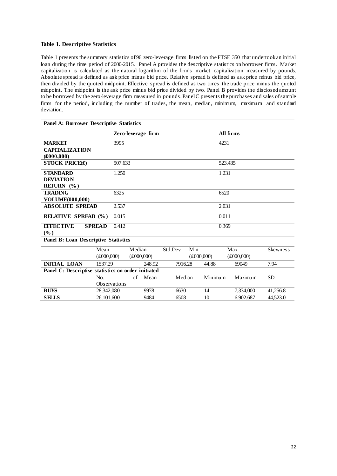#### **Table 1. Descriptive Statistics**

Table 1 presents the summary statistics of 96 zero-leverage firms listed on the FTSE 350 that undertook an initial loan during the time period of 2000-2015. Panel A provides the descriptive statistics on borrower firms. Market capitalization is calculated as the natural logarithm of the firm's market capitalization measured by pounds. Absolute spread is defined as ask price minus bid price. Relative spread is defined as ask price minus bid price, then divided by the quoted midpoint. Effective spread is defined as two times the trade price minus the quoted midpoint. The midpoint is the ask price minus bid price divided by two. Panel B provides the disclosed amount to be borrowed by the zero-leverage firm measured in pounds. Panel C presents the purchases and sales of sample firms for the period, including the number of trades, the mean, median, minimum, maximum and standard deviation.

| <b>Panel A: Borrower Descriptive Statistics</b>    |                           |                    |                     |         |     |                      |                     |                 |  |
|----------------------------------------------------|---------------------------|--------------------|---------------------|---------|-----|----------------------|---------------------|-----------------|--|
|                                                    |                           | Zero-leverage firm |                     |         |     | All firms            |                     |                 |  |
| <b>MARKET</b>                                      |                           | 3995               |                     |         |     |                      | 4231                |                 |  |
| <b>CAPITALIZATION</b>                              |                           |                    |                     |         |     |                      |                     |                 |  |
| $(\pounds000,000)$                                 |                           |                    |                     |         |     |                      |                     |                 |  |
| <b>STOCK PRICE(£)</b>                              |                           | 507.633            |                     |         |     | 523.435              |                     |                 |  |
| <b>STANDARD</b>                                    |                           | 1.250              |                     |         |     | 1.231                |                     |                 |  |
| <b>DEVIATION</b>                                   |                           |                    |                     |         |     |                      |                     |                 |  |
| RETURN (%)                                         |                           |                    |                     |         |     |                      |                     |                 |  |
| <b>TRADING</b>                                     |                           | 6325               |                     |         |     | 6520                 |                     |                 |  |
| VOLUME(000,000)                                    |                           |                    |                     |         |     |                      |                     |                 |  |
| <b>ABSOLUTE SPREAD</b>                             |                           | 2.537              |                     |         |     | 2.031                |                     |                 |  |
| <b>RELATIVE SPREAD (%)</b>                         |                           | 0.015              |                     |         |     | 0.011                |                     |                 |  |
| <b>EFFECTIVE</b>                                   | <b>SPREAD</b>             | 0.412              |                     |         |     | 0.369                |                     |                 |  |
| (%)                                                |                           |                    |                     |         |     |                      |                     |                 |  |
| <b>Panel B: Loan Descriptive Statistics</b>        |                           |                    |                     |         |     |                      |                     |                 |  |
|                                                    | Mean                      |                    | Median              | Std.Dev | Min |                      | Max                 | <b>Skewness</b> |  |
|                                                    | $(\text{\pounds}000,000)$ |                    | $(\pounds 000,000)$ |         |     | $(\pounds 000, 000)$ | $(\pounds 000,000)$ |                 |  |
| <b>INITIAL LOAN</b>                                | 1537.29                   |                    | 248.92              | 7916.28 |     | 44.88                | 69049               | 7.94            |  |
| Panel C: Descriptive statistics on order initiated |                           |                    |                     |         |     |                      |                     |                 |  |
|                                                    | No.                       | of                 | Mean                | Median  |     | Minimum              | Maximum             | <b>SD</b>       |  |
|                                                    | <b>Observations</b>       |                    |                     |         |     |                      |                     |                 |  |
| <b>BUYS</b>                                        | 28,342,080                |                    | 9978                | 6630    |     | 14                   | 7,334,000           | 41,256.8        |  |
| <b>SELLS</b>                                       | 26,101,600                |                    | 9484                | 6508    |     | 10                   | 6.902.687           | 44,523.0        |  |
|                                                    |                           |                    |                     |         |     |                      |                     |                 |  |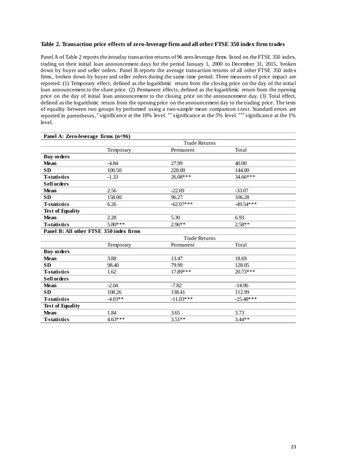#### **Table 2. Transaction price effects of zero-leverage firm and all other FTSE 350 index firm trades**

Panel A of Table 2 reports the intraday transaction returns of 96 zero-leverage firms listed on the FTSE 350 index, trading on their initial loan announcement days for the period January 1, 2000 to December 31, 2015, broken down by buyer and seller orders. Panel B reports the average transaction returns of all other FTSE 350 index firms, broken down by buyer and seller orders during the same time period. Three measures of price impact are reported. (1) Temporary effect, defined as the logarithmic return from the closing price on the day of the initial loan announcement to the share price. (2) Permanent effects, defined as the logarithmic return from the opening price on the day of initial loan announcement to the closing price on the announcement day. (3) Total effect, defined as the logarithmic return from the opening price on the announcement day to the trading price. The tests of equality between two groups by performed using a two-sample mean comparison t-test. Standard errors are reported in parentheses, \* significance at the 10% level. \*\* significance at the 5% level. \*\*\* significance at the 1% level.

| Panel A: Zero-leverage firms (n=96)     |                      |                      |             |  |  |
|-----------------------------------------|----------------------|----------------------|-------------|--|--|
|                                         | <b>Trade Returns</b> |                      |             |  |  |
|                                         | Temporary            | Permanent            | Total       |  |  |
| <b>Buy orders</b>                       |                      |                      |             |  |  |
| <b>Mean</b>                             | $-4.84$              | 27.99                | 40.00       |  |  |
| <b>SD</b>                               | 100.50               | 228.00               | 144.00      |  |  |
| <b>T-statistics</b>                     | $-1.33$              | 26.08***             | $34.66***$  |  |  |
| <b>Sell orders</b>                      |                      |                      |             |  |  |
| <b>Mean</b>                             | 2.56                 | $-22.69$             | $-33.07$    |  |  |
| <b>SD</b>                               | 158.00               | 96.27                | 106.28      |  |  |
| <b>T-statistics</b>                     | 6.26                 | $-62.07***$          | $-49.54***$ |  |  |
| <b>Test of Equality</b>                 |                      |                      |             |  |  |
| <b>Mean</b>                             | 2.28                 | 5.30                 | 6.93        |  |  |
| <b>T-statistics</b>                     | $5.80***$            | $2.96**$             | $2.58**$    |  |  |
| Panel B: All other FTSE 350 index firms |                      |                      |             |  |  |
|                                         |                      | <b>Trade Returns</b> |             |  |  |
|                                         | Temporary            | Permanent            | Total       |  |  |
| <b>Buy orders</b>                       |                      |                      |             |  |  |
| <b>Mean</b>                             | 3.88                 | 13.47                | 18.69       |  |  |
| <b>SD</b>                               | 98.40                | 79.99                | 128.05      |  |  |
| <b>T-statistics</b>                     | 1.62                 | 17.89***             | $20.73***$  |  |  |
| <b>Sell orders</b>                      |                      |                      |             |  |  |
| <b>Mean</b>                             | $-2.04$              | $-7.82$              | $-14.96$    |  |  |
| <b>SD</b>                               | 108.26               | 138.41               | 112.99      |  |  |
| <b>T-statistics</b>                     | $-4.03**$            | $-11.03***$          | $-25.48***$ |  |  |
| <b>Test of Equality</b>                 |                      |                      |             |  |  |
| <b>Mean</b>                             | 1.84                 | 3.65                 | 3.73        |  |  |
| <b>T-statistics</b>                     | $4.63***$            | $3.51**$             | $3.44**$    |  |  |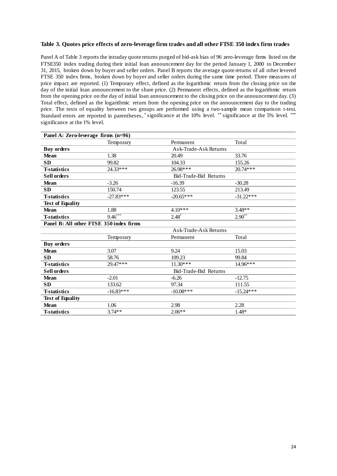#### **Table 3. Quotes price effects of zero-leverage firm trades and all other FTSE 350 index firm trades**

Panel A of Table 3 reports the intraday quote returns purged of bid-ask bias of 96 zero-leverage firms listed on the FTSE350 index trading during their initial loan announcement day for the period January 1, 2000 to December 31, 2015, broken down by buyer and seller orders. Panel B reports the average quote returns of all other levered FTSE 350 index firms, broken down by buyer and seller orders during the same time period. Three measures of price impact are reported. (1) Temporary effect, defined as the logarithmic return from the closing price on the day of the initial loan announcement to the share price. (2) Permanent effects, defined as the logarithmic return from the opening price on the day of initial loan announcement to the closing price on the announcement day. (3) Total effect, defined as the logarithmic return from the opening price on the announcement day to the trading price. The tests of equality between two groups are performed using a two-sample mean comparison t-test. Standard errors are reported in parentheses, \* significance at the 10% level. \*\* significance at the 5% level. \*\*\* significance at the 1% level.

| Panel A: Zero-leverage firms (n=96)     |                       |                       |             |  |  |
|-----------------------------------------|-----------------------|-----------------------|-------------|--|--|
|                                         | Temporary             | Permanent             | Total       |  |  |
| <b>Buy orders</b>                       |                       | Ask-Trade-Ask Returns |             |  |  |
| <b>Mean</b>                             | 1.38                  | 20.49                 | 33.76       |  |  |
| <b>SD</b>                               | 99.82                 | 104.33                | 155.26      |  |  |
| <b>T-statistics</b>                     | 24.33***              | 26.98***              | $20.74***$  |  |  |
| <b>Sell orders</b>                      | Bid-Trade-Bid Returns |                       |             |  |  |
| <b>Mean</b>                             | $-3.26$               | $-16.39$              | $-30.28$    |  |  |
| <b>SD</b>                               | 150.74                | 123.55                | 213.49      |  |  |
| <b>T-statistics</b>                     | $-27.83***$           | $-20.65***$           | $-31.22***$ |  |  |
| <b>Test of Equality</b>                 |                       |                       |             |  |  |
| <b>Mean</b>                             | 1.88                  | $4.10***$             | $3.48**$    |  |  |
| <b>T-statistics</b>                     | $9.46***$             | $2.48*$               | $2.90**$    |  |  |
| Panel B: All other FTSE 350 index firms |                       |                       |             |  |  |
|                                         |                       | Ask-Trade-Ask Returns |             |  |  |
|                                         | Temporary             | Permanent             | Total       |  |  |
| <b>Buy orders</b>                       |                       |                       |             |  |  |
| <b>Mean</b>                             | 3.07                  | 9.24                  | 15.03       |  |  |
| <b>SD</b>                               | 58.76                 | 109.23                | 99.84       |  |  |
| <b>T-statistics</b>                     | 29.47***              | $11.30***$            | $14.96***$  |  |  |
| <b>Sell orders</b>                      |                       | Bid-Trade-Bid Returns |             |  |  |
| <b>Mean</b>                             | $-2.01$               | $-6.26$               | $-12.75$    |  |  |
| <b>SD</b>                               | 133.62                | 97.34                 | 111.55      |  |  |
| <b>T-statistics</b>                     | $-16.83***$           | $-10.08***$           | $-15.24***$ |  |  |
| <b>Test of Equality</b>                 |                       |                       |             |  |  |
| <b>Mean</b>                             | 1.06                  | 2.98                  | 2.28        |  |  |
| <b>T-statistics</b>                     | $3.74**$              | $2.06**$              | $1.48*$     |  |  |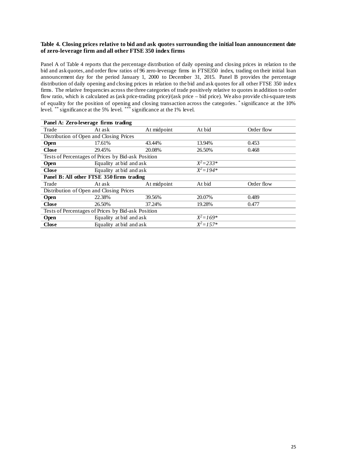#### **Table 4. Closing prices relative to bid and ask quotes surrounding the initial loan announcement date of zero-leverage firm and all other FTSE 350 index firms**

Panel A of Table 4 reports that the percentage distribution of daily opening and closing prices in relation to the bid and ask quotes, and order flow ratios of 96 zero-leverage firms in FTSE350 index, trading on their initial loan announcement day for the period January 1, 2000 to December 31, 2015. Panel B provides the percentage distribution of daily opening and closing prices in relation to the bid and ask quotes for all other FTSE 350 index firms. The relative frequencies across the three categories of trade positively relative to quotes in addition to order flow ratio, which is calculated as (ask price-trading price)/(ask price – bid price). We also provide chi-square tests of equality for the position of opening and closing transaction across the categories. \* significance at the 10% level. \*\* significance at the 5% level. \*\*\* significance at the 1% level.

| Panel A: Zero-leverage firms trading               |                         |             |               |            |  |
|----------------------------------------------------|-------------------------|-------------|---------------|------------|--|
| Trade                                              | At ask                  | At midpoint | At bid        | Order flow |  |
| Distribution of Open and Closing Prices            |                         |             |               |            |  |
| <b>Open</b>                                        | 17.61%                  | 43.44%      | 13.94%        | 0.453      |  |
| <b>Close</b>                                       | 29.45%                  | 20.08%      | 26.50%        | 0.468      |  |
| Tests of Percentages of Prices by Bid-ask Position |                         |             |               |            |  |
| <b>Open</b>                                        | Equality at bid and ask |             | $X^2 = 233*$  |            |  |
| <b>Close</b>                                       | Equality at bid and ask |             | $X^2 = 194*$  |            |  |
| Panel B: All other FTSE 350 firms trading          |                         |             |               |            |  |
| Trade                                              | At ask                  | At midpoint | At bid        | Order flow |  |
| Distribution of Open and Closing Prices            |                         |             |               |            |  |
| <b>Open</b>                                        | 22.38%                  | 39.56%      | 20.07%        | 0.489      |  |
| <b>Close</b>                                       | 26.50%                  | 37.24%      | 19.28%        | 0.477      |  |
| Tests of Percentages of Prices by Bid-ask Position |                         |             |               |            |  |
| <b>Open</b>                                        | Equality at bid and ask |             | $X^2 = 169^*$ |            |  |
| <b>Close</b>                                       | Equality at bid and ask |             | $X^2 = 1.57*$ |            |  |